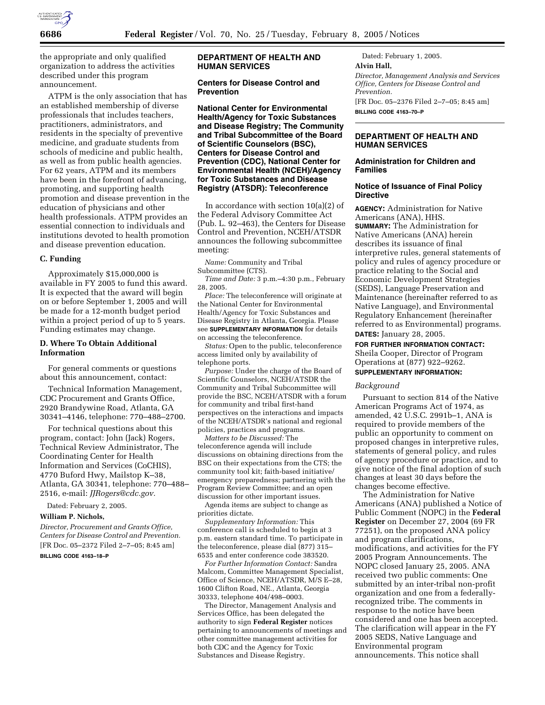

the appropriate and only qualified organization to address the activities described under this program announcement.

ATPM is the only association that has an established membership of diverse professionals that includes teachers, practitioners, administrators, and residents in the specialty of preventive medicine, and graduate students from schools of medicine and public health, as well as from public health agencies. For 62 years, ATPM and its members have been in the forefront of advancing, promoting, and supporting health promotion and disease prevention in the education of physicians and other health professionals. ATPM provides an essential connection to individuals and institutions devoted to health promotion and disease prevention education.

# **C. Funding**

Approximately \$15,000,000 is available in FY 2005 to fund this award. It is expected that the award will begin on or before September 1, 2005 and will be made for a 12-month budget period within a project period of up to 5 years. Funding estimates may change.

# **D. Where To Obtain Additional Information**

For general comments or questions about this announcement, contact:

Technical Information Management, CDC Procurement and Grants Office, 2920 Brandywine Road, Atlanta, GA 30341–4146, telephone: 770–488–2700.

For technical questions about this program, contact: John (Jack) Rogers, Technical Review Administrator, The Coordinating Center for Health Information and Services (CoCHIS), 4770 Buford Hwy, Mailstop K–38, Atlanta, GA 30341, telephone: 770–488– 2516, e-mail: *JJRogers@cdc.gov.*

Dated: February 2, 2005.

# **William P. Nichols,**

*Director, Procurement and Grants Office, Centers for Disease Control and Prevention.* [FR Doc. 05–2372 Filed 2–7–05; 8:45 am]

## **BILLING CODE 4163–18–P**

# **DEPARTMENT OF HEALTH AND HUMAN SERVICES**

# **Centers for Disease Control and Prevention**

**National Center for Environmental Health/Agency for Toxic Substances and Disease Registry; The Community and Tribal Subcommittee of the Board of Scientific Counselors (BSC), Centers for Disease Control and Prevention (CDC), National Center for Environmental Health (NCEH)/Agency for Toxic Substances and Disease Registry (ATSDR): Teleconference** 

In accordance with section 10(a)(2) of the Federal Advisory Committee Act (Pub. L. 92–463), the Centers for Disease Control and Prevention, NCEH/ATSDR announces the following subcommittee meeting:

*Name:* Community and Tribal Subcommittee (CTS).

*Time and Date:* 3 p.m.–4:30 p.m., February 28, 2005.

*Place:* The teleconference will originate at the National Center for Environmental Health/Agency for Toxic Substances and Disease Registry in Atlanta, Georgia. Please see **SUPPLEMENTARY INFORMATION** for details on accessing the teleconference.

*Status:* Open to the public, teleconference access limited only by availability of telephone ports.

*Purpose:* Under the charge of the Board of Scientific Counselors, NCEH/ATSDR the Community and Tribal Subcommittee will provide the BSC, NCEH/ATSDR with a forum for community and tribal first-hand perspectives on the interactions and impacts of the NCEH/ATSDR's national and regional policies, practices and programs.

*Matters to be Discussed:* The teleconference agenda will include discussions on obtaining directions from the BSC on their expectations from the CTS; the community tool kit; faith-based initiative/ emergency preparedness; partnering with the Program Review Committee; and an open discussion for other important issues.

Agenda items are subject to change as priorities dictate.

*Supplementary Information:* This conference call is scheduled to begin at 3 p.m. eastern standard time. To participate in the teleconference, please dial (877) 315– 6535 and enter conference code 383520.

*For Further Information Contact:* Sandra Malcom, Committee Management Specialist, Office of Science, NCEH/ATSDR, M/S E–28, 1600 Clifton Road, NE., Atlanta, Georgia 30333, telephone 404/498–0003.

The Director, Management Analysis and Services Office, has been delegated the authority to sign **Federal Register** notices pertaining to announcements of meetings and other committee management activities for both CDC and the Agency for Toxic Substances and Disease Registry.

Dated: February 1, 2005. **Alvin Hall,**  *Director, Management Analysis and Services Office, Centers for Disease Control and Prevention.* [FR Doc. 05–2376 Filed 2–7–05; 8:45 am] **BILLING CODE 4163–70–P**

# **DEPARTMENT OF HEALTH AND HUMAN SERVICES**

# **Administration for Children and Families**

# **Notice of Issuance of Final Policy Directive**

**AGENCY:** Administration for Native Americans (ANA), HHS. **SUMMARY:** The Administration for Native Americans (ANA) herein describes its issuance of final interpretive rules, general statements of policy and rules of agency procedure or practice relating to the Social and Economic Development Strategies (SEDS), Language Preservation and Maintenance (hereinafter referred to as Native Language), and Environmental Regulatory Enhancement (hereinafter referred to as Environmental) programs. **DATES:** January 28, 2005.

# **FOR FURTHER INFORMATION CONTACT:** Sheila Cooper, Director of Program

Operations at (877) 922–9262. **SUPPLEMENTARY INFORMATION:** 

# *Background*

Pursuant to section 814 of the Native American Programs Act of 1974, as amended, 42 U.S.C. 2991b–1, ANA is required to provide members of the public an opportunity to comment on proposed changes in interpretive rules, statements of general policy, and rules of agency procedure or practice, and to give notice of the final adoption of such changes at least 30 days before the

changes become effective. The Administration for Native Americans (ANA) published a Notice of Public Comment (NOPC) in the **Federal Register** on December 27, 2004 (69 FR 77251), on the proposed ANA policy and program clarifications, modifications, and activities for the FY 2005 Program Announcements. The NOPC closed January 25, 2005. ANA received two public comments: One submitted by an inter-tribal non-profit organization and one from a federallyrecognized tribe. The comments in response to the notice have been considered and one has been accepted. The clarification will appear in the FY 2005 SEDS, Native Language and Environmental program announcements. This notice shall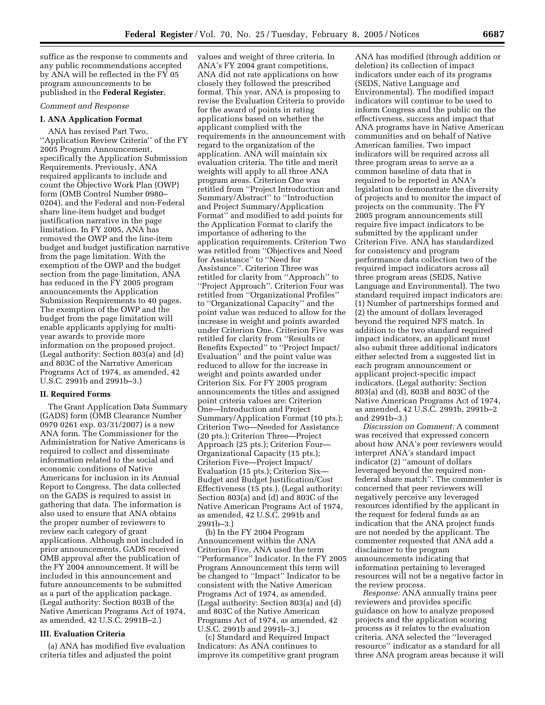suffice as the response to comments and any public recommendations accepted by ANA will be reflected in the FY 05 program announcements to be published in the **Federal Register.**

## *Comment and Response*

#### **I. ANA Application Format**

ANA has revised Part Two, ''Application Review Criteria'' of the FY 2005 Program Announcement, specifically the Application Submission Requirements. Previously, ANA required applicants to include and count the Objective Work Plan (OWP) form (OMB Control Number 0980– 0204), and the Federal and non-Federal share line-item budget and budget justification narrative in the page limitation. In FY 2005, ANA has removed the OWP and the line-item budget and budget justification narrative from the page limitation. With the exemption of the OWP and the budget section from the page limitation, ANA has reduced in the FY 2005 program announcements the Application Submission Requirements to 40 pages. The exemption of the OWP and the budget from the page limitation will enable applicants applying for multiyear awards to provide more information on the proposed project. (Legal authority: Section 803(a) and (d) and 803C of the Narrative American Programs Act of 1974, as amended, 42 U.S.C. 2991b and 2991b–3.)

# **II. Required Forms**

The Grant Application Data Summary (GADS) form (OMB Clearance Number 0970 0261 exp. 03/31/2007) is a new ANA form. The Commissioner for the Administration for Native Americans is required to collect and disseminate information related to the social and economic conditions of Native Americans for inclusion in its Annual Report to Congress. The data collected on the GADS is required to assist in gathering that data. The information is also used to ensure that ANA obtains the proper number of reviewers to review each category of grant applications. Although not included in prior announcements, GADS received OMB approval after the publication of the FY 2004 announcement. It will be included in this announcement and future announcements to be submitted as a part of the application package. (Legal authority: Section 803B of the Native American Programs Act of 1974, as amended, 42 U.S.C. 2991B–2.)

## **III. Evaluation Criteria**

(a) ANA has modified five evaluation criteria titles and adjusted the point

values and weight of three criteria. In ANA's FY 2004 grant competitions, ANA did not rate applications on how closely they followed the prescribed format. This year, ANA is proposing to revise the Evaluation Criteria to provide for the award of points in rating applications based on whether the applicant complied with the requirements in the announcement with regard to the organization of the application. ANA will maintain six evaluation criteria. The title and merit weights will apply to all three ANA program areas. Criterion One was retitled from ''Project Introduction and Summary/Abstract'' to ''Introduction and Project Summary/Application Format'' and modified to add points for the Application Format to clarify the importance of adhering to the application requirements. Criterion Two was retitled from ''Objectives and Need for Assistance'' to ''Need for Assistance''. Criterion Three was retitled for clarity from ''Approach'' to ''Project Approach''. Criterion Four was retitled from ''Organizational Profiles'' to ''Organizational Capacity'' and the point value was reduced to allow for the increase in weight and points awarded under Criterion One. Criterion Five was retitled for clarity from ''Results or Benefits Expected'' to ''Project Impact/ Evaluation'' and the point value was reduced to allow for the increase in weight and points awarded under Criterion Six. For FY 2005 program announcements the titles and assigned point criteria values are: Criterion One—Introduction and Project Summary/Application Format (10 pts.); Criterion Two—Needed for Assistance (20 pts.); Criterion Three—Project Approach (25 pts.); Criterion Four— Organizational Capacity (15 pts.); Criterion Five—Project Impact/ Evaluation (15 pts.); Criterion Six— Budget and Budget Justification/Cost Effectiveness (15 pts.). (Legal authority: Section 803(a) and (d) and 803C of the Native American Programs Act of 1974, as amended, 42 U.S.C. 2991b and 2991b–3.)

(b) In the FY 2004 Program Announcement within the ANA Criterion Five, ANA used the term ''Performance'' Indicator. In the FY 2005 Program Announcement this term will be changed to ''Impact'' Indicator to be consistent with the Native American Programs Act of 1974, as amended. (Legal authority: Section 803(a) and (d) and 803C of the Native American Programs Act of 1974, as amended, 42 U.S.C. 2991b and 2991b–3.)

(c) Standard and Required Impact Indicators: As ANA continues to improve its competitive grant program

ANA has modified (through addition or deletion) its collection of impact indicators under each of its programs (SEDS, Native Language and Environmental). The modified impact indicators will continue to be used to inform Congress and the public on the effectiveness, success and impact that ANA programs have in Native American communities and on behalf of Native American families. Two impact indicators will be required across all three program areas to serve as a common baseline of data that is required to be reported in ANA's legislation to demonstrate the diversity of projects and to monitor the impact of projects on the community. The FY 2005 program announcements still require five impact indicators to be submitted by the applicant under Criterion Five. ANA has standardized for consistency and program performance data collection two of the required impact indicators across all three program areas (SEDS, Native Language and Environmental). The two standard required impact indicators are: (1) Number of partnerships formed and (2) the amount of dollars leveraged beyond the required NFS match. In addition to the two standard required impact indicators, an applicant must also submit three additional indicators either selected from a suggested list in each program announcement or applicant project-specific impact indicators. (Legal authority: Section 803(a) and (d), 803B and 803C of the Native American Programs Act of 1974, as amended, 42 U.S.C. 2991b, 2991b–2 and 2991b–3.)

*Discussion on Comment:* A comment was received that expressed concern about how ANA's peer reviewers would interpret ANA's standard impact indicator (2) ''amount of dollars leveraged beyond the required nonfederal share match''. The commenter is concerned that peer reviewers will negatively perceive any leveraged resources identified by the applicant in the request for federal funds as an indication that the ANA project funds are not needed by the applicant. The commenter requested that ANA add a disclaimer to the program announcements indicating that information pertaining to leveraged resources will not be a negative factor in the review process.

*Response:* ANA annually trains peer reviewers and provides specific guidance on how to analyze proposed projects and the application scoring process as it relates to the evaluation criteria. ANA selected the ''leveraged resource'' indicator as a standard for all three ANA program areas because it will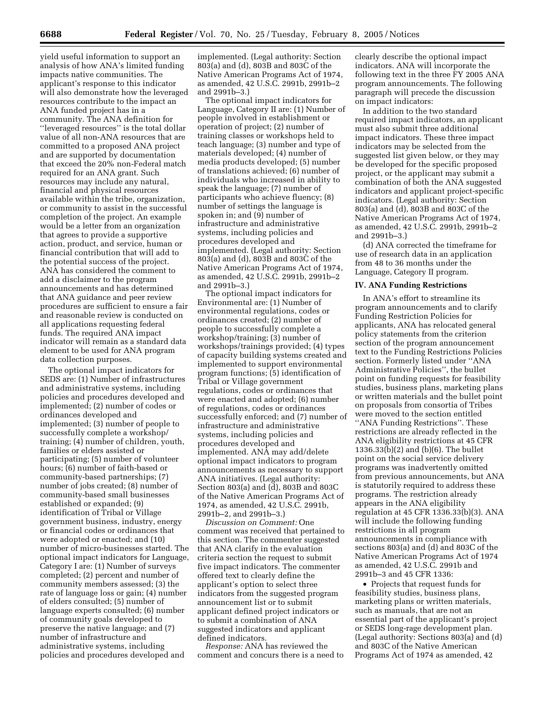yield useful information to support an analysis of how ANA's limited funding impacts native communities. The applicant's response to this indicator will also demonstrate how the leveraged resources contribute to the impact an ANA funded project has in a community. The ANA definition for ''leveraged resources'' is the total dollar value of all non-ANA resources that are committed to a proposed ANA project and are supported by documentation that exceed the 20% non-Federal match required for an ANA grant. Such resources may include any natural, financial and physical resources available within the tribe, organization, or community to assist in the successful completion of the project. An example would be a letter from an organization that agrees to provide a supportive action, product, and service, human or financial contribution that will add to the potential success of the project. ANA has considered the comment to add a disclaimer to the program announcements and has determined that ANA guidance and peer review procedures are sufficient to ensure a fair and reasonable review is conducted on all applications requesting federal funds. The required ANA impact indicator will remain as a standard data element to be used for ANA program data collection purposes.

The optional impact indicators for SEDS are: (1) Number of infrastructures and administrative systems, including policies and procedures developed and implemented; (2) number of codes or ordinances developed and implemented; (3) number of people to successfully complete a workshop/ training; (4) number of children, youth, families or elders assisted or participating; (5) number of volunteer hours; (6) number of faith-based or community-based partnerships; (7) number of jobs created; (8) number of community-based small businesses established or expanded; (9) identification of Tribal or Village government business, industry, energy or financial codes or ordinances that were adopted or enacted; and (10) number of micro-businesses started. The optional impact indicators for Language, Category I are: (1) Number of surveys completed; (2) percent and number of community members assessed; (3) the rate of language loss or gain; (4) number of elders consulted; (5) number of language experts consulted; (6) number of community goals developed to preserve the native language; and (7) number of infrastructure and administrative systems, including policies and procedures developed and

implemented. (Legal authority: Section 803(a) and (d), 803B and 803C of the Native American Programs Act of 1974, as amended, 42 U.S.C. 2991b, 2991b–2 and 2991b–3.)

The optional impact indicators for Language, Category II are: (1) Number of people involved in establishment or operation of project; (2) number of training classes or workshops held to teach language; (3) number and type of materials developed; (4) number of media products developed; (5) number of translations achieved; (6) number of individuals who increased in ability to speak the language; (7) number of participants who achieve fluency; (8) number of settings the language is spoken in; and (9) number of infrastructure and administrative systems, including policies and procedures developed and implemented. (Legal authority: Section 803(a) and (d), 803B and 803C of the Native American Programs Act of 1974, as amended, 42 U.S.C. 2991b, 2991b–2 and 2991b–3.)

The optional impact indicators for Environmental are: (1) Number of environmental regulations, codes or ordinances created; (2) number of people to successfully complete a workshop/training; (3) number of workshops/trainings provided; (4) types of capacity building systems created and implemented to support environmental program functions; (5) identification of Tribal or Village government regulations, codes or ordinances that were enacted and adopted; (6) number of regulations, codes or ordinances successfully enforced; and (7) number of infrastructure and administrative systems, including policies and procedures developed and implemented. ANA may add/delete optional impact indicators to program announcements as necessary to support ANA initiatives. (Legal authority: Section 803(a) and (d), 803B and 803C of the Native American Programs Act of 1974, as amended, 42 U.S.C. 2991b, 2991b–2, and 2991b–3.)

*Discussion on Comment:* One comment was received that pertained to this section. The commenter suggested that ANA clarify in the evaluation criteria section the request to submit five impact indicators. The commenter offered text to clearly define the applicant's option to select three indicators from the suggested program announcement list or to submit applicant defined project indicators or to submit a combination of ANA suggested indicators and applicant defined indicators.

*Response:* ANA has reviewed the comment and concurs there is a need to clearly describe the optional impact indicators. ANA will incorporate the following text in the three FY 2005 ANA program announcements. The following paragraph will precede the discussion on impact indicators:

In addition to the two standard required impact indicators, an applicant must also submit three additional impact indicators. These three impact indicators may be selected from the suggested list given below, or they may be developed for the specific proposed project, or the applicant may submit a combination of both the ANA suggested indicators and applicant project-specific indicators. (Legal authority: Section 803(a) and (d), 803B and 803C of the Native American Programs Act of 1974, as amended, 42 U.S.C. 2991b, 2991b–2 and 2991b–3.)

(d) ANA corrected the timeframe for use of research data in an application from 48 to 36 months under the Language, Category II program.

#### **IV. ANA Funding Restrictions**

In ANA's effort to streamline its program announcements and to clarify Funding Restriction Policies for applicants, ANA has relocated general policy statements from the criterion section of the program announcement text to the Funding Restrictions Policies section. Formerly listed under ''ANA Administrative Policies'', the bullet point on funding requests for feasibility studies, business plans, marketing plans or written materials and the bullet point on proposals from consortia of Tribes were moved to the section entitled ''ANA Funding Restrictions''. These restrictions are already reflected in the ANA eligibility restrictions at 45 CFR 1336.33(b)(2) and (b)(6). The bullet point on the social service delivery programs was inadvertently omitted from previous announcements, but ANA is statutorily required to address these programs. The restriction already appears in the ANA eligibility regulation at 45 CFR 1336.33(b)(3). ANA will include the following funding restrictions in all program announcements in compliance with sections 803(a) and (d) and 803C of the Native American Programs Act of 1974 as amended, 42 U.S.C. 2991b and 2991b–3 and 45 CFR 1336:

• Projects that request funds for feasibility studies, business plans, marketing plans or written materials, such as manuals, that are not an essential part of the applicant's project or SEDS long-rage development plan. (Legal authority: Sections 803(a) and (d) and 803C of the Native American Programs Act of 1974 as amended, 42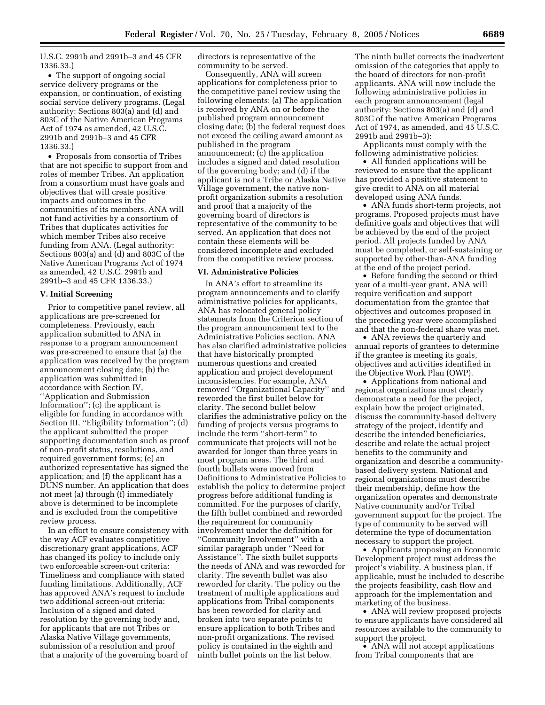U.S.C. 2991b and 2991b–3 and 45 CFR 1336.33.)

• The support of ongoing social service delivery programs or the expansion, or continuation, of existing social service delivery programs. (Legal authority: Sections 803(a) and (d) and 803C of the Native American Programs Act of 1974 as amended, 42 U.S.C. 2991b and 2991b–3 and 45 CFR 1336.33.)

• Proposals from consortia of Tribes that are not specific to support from and roles of member Tribes. An application from a consortium must have goals and objectives that will create positive impacts and outcomes in the communities of its members. ANA will not fund activities by a consortium of Tribes that duplicates activities for which member Tribes also receive funding from ANA. (Legal authority: Sections 803(a) and (d) and 803C of the Native American Programs Act of 1974 as amended, 42 U.S.C. 2991b and 2991b–3 and 45 CFR 1336.33.)

# **V. Initial Screening**

Prior to competitive panel review, all applications are pre-screened for completeness. Previously, each application submitted to ANA in response to a program announcement was pre-screened to ensure that (a) the application was received by the program announcement closing date; (b) the application was submitted in accordance with Section IV, ''Application and Submission Information''; (c) the applicant is eligible for funding in accordance with Section III, ''Eligibility Information''; (d) the applicant submitted the proper supporting documentation such as proof of non-profit status, resolutions, and required government forms; (e) an authorized representative has signed the application; and (f) the applicant has a DUNS number. An application that does not meet (a) through (f) immediately above is determined to be incomplete and is excluded from the competitive review process.

In an effort to ensure consistency with the way ACF evaluates competitive discretionary grant applications, ACF has changed its policy to include only two enforceable screen-out criteria: Timeliness and compliance with stated funding limitations. Additionally, ACF has approved ANA's request to include two additional screen-out criteria: Inclusion of a signed and dated resolution by the governing body and, for applicants that are not Tribes or Alaska Native Village governments, submission of a resolution and proof that a majority of the governing board of

directors is representative of the community to be served.

Consequently, ANA will screen applications for completeness prior to the competitive panel review using the following elements: (a) The application is received by ANA on or before the published program announcement closing date; (b) the federal request does not exceed the ceiling award amount as published in the program announcement; (c) the application includes a signed and dated resolution of the governing body; and (d) if the applicant is not a Tribe or Alaska Native Village government, the native nonprofit organization submits a resolution and proof that a majority of the governing board of directors is representative of the community to be served. An application that does not contain these elements will be considered incomplete and excluded from the competitive review process.

# **VI. Administrative Policies**

In ANA's effort to streamline its program announcements and to clarify administrative policies for applicants, ANA has relocated general policy statements from the Criterion section of the program announcement text to the Administrative Policies section. ANA has also clarified administrative policies that have historically prompted numerous questions and created application and project development inconsistencies. For example, ANA removed ''Organizational Capacity'' and reworded the first bullet below for clarity. The second bullet below clarifies the administrative policy on the funding of projects versus programs to include the term ''short-term'' to communicate that projects will not be awarded for longer than three years in most program areas. The third and fourth bullets were moved from Definitions to Administrative Policies to establish the policy to determine project progress before additional funding is committed. For the purposes of clarify, the fifth bullet combined and reworded the requirement for community involvement under the definition for ''Community Involvement'' with a similar paragraph under ''Need for Assistance''. The sixth bullet supports the needs of ANA and was reworded for clarity. The seventh bullet was also reworded for clarity. The policy on the treatment of multiple applications and applications from Tribal components has been reworded for clarity and broken into two separate points to ensure application to both Tribes and non-profit organizations. The revised policy is contained in the eighth and ninth bullet points on the list below.

The ninth bullet corrects the inadvertent omission of the categories that apply to the board of directors for non-profit applicants. ANA will now include the following administrative policies in each program announcement (legal authority: Sections 803(a) and (d) and 803C of the native American Programs Act of 1974, as amended, and 45 U.S.C. 2991b and 2991b–3):

Applicants must comply with the following administrative policies:

• All funded applications will be reviewed to ensure that the applicant has provided a positive statement to give credit to ANA on all material developed using ANA funds.

• ANA funds short-term projects, not programs. Proposed projects must have definitive goals and objectives that will be achieved by the end of the project period. All projects funded by ANA must be completed, or self-sustaining or supported by other-than-ANA funding at the end of the project period.

• Before funding the second or third year of a multi-year grant, ANA will require verification and support documentation from the grantee that objectives and outcomes proposed in the preceding year were accomplished and that the non-federal share was met.

• ANA reviews the quarterly and annual reports of grantees to determine if the grantee is meeting its goals, objectives and activities identified in the Objective Work Plan (OWP).

• Applications from national and regional organizations must clearly demonstrate a need for the project, explain how the project originated, discuss the community-based delivery strategy of the project, identify and describe the intended beneficiaries, describe and relate the actual project benefits to the community and organization and describe a communitybased delivery system. National and regional organizations must describe their membership, define how the organization operates and demonstrate Native community and/or Tribal government support for the project. The type of community to be served will determine the type of documentation necessary to support the project.

• Applicants proposing an Economic Development project must address the project's viability. A business plan, if applicable, must be included to describe the projects feasibility, cash flow and approach for the implementation and marketing of the business.

• ANA will review proposed projects to ensure applicants have considered all resources available to the community to support the project.

• ANA will not accept applications from Tribal components that are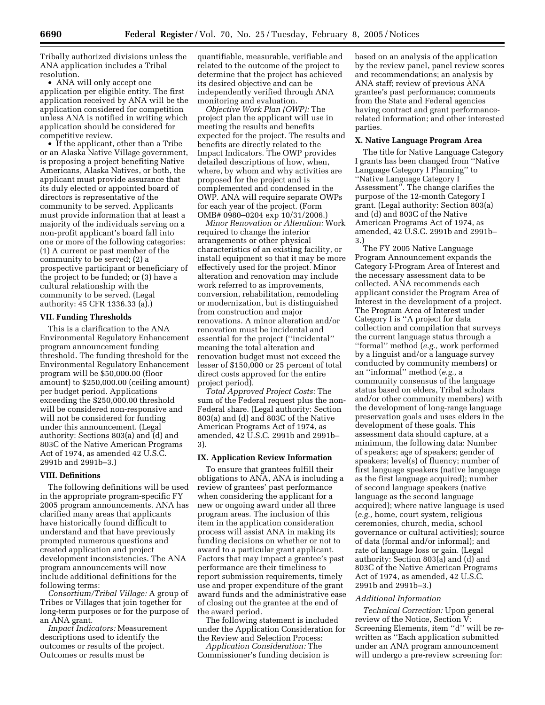Tribally authorized divisions unless the ANA application includes a Tribal resolution.

• ANA will only accept one application per eligible entity. The first application received by ANA will be the application considered for competition unless ANA is notified in writing which application should be considered for competitive review.

• If the applicant, other than a Tribe or an Alaska Native Village government, is proposing a project benefiting Native Americans, Alaska Natives, or both, the applicant must provide assurance that its duly elected or appointed board of directors is representative of the community to be served. Applicants must provide information that at least a majority of the individuals serving on a non-profit applicant's board fall into one or more of the following categories: (1) A current or past member of the community to be served; (2) a prospective participant or beneficiary of the project to be funded; or (3) have a cultural relationship with the community to be served. (Legal authority: 45 CFR 1336.33 (a).)

#### **VII. Funding Thresholds**

This is a clarification to the ANA Environmental Regulatory Enhancement program announcement funding threshold. The funding threshold for the Environmental Regulatory Enhancement program will be \$50,000.00 (floor amount) to \$250,000.00 (ceiling amount) per budget period. Applications exceeding the \$250,000.00 threshold will be considered non-responsive and will not be considered for funding under this announcement. (Legal authority: Sections 803(a) and (d) and 803C of the Native American Programs Act of 1974, as amended 42 U.S.C. 2991b and 2991b–3.)

#### **VIII. Definitions**

The following definitions will be used in the appropriate program-specific FY 2005 program announcements. ANA has clarified many areas that applicants have historically found difficult to understand and that have previously prompted numerous questions and created application and project development inconsistencies. The ANA program announcements will now include additional definitions for the following terms:

*Consortium/Tribal Village:* A group of Tribes or Villages that join together for long-term purposes or for the purpose of an ANA grant.

*Impact Indicators:* Measurement descriptions used to identify the outcomes or results of the project. Outcomes or results must be

quantifiable, measurable, verifiable and related to the outcome of the project to determine that the project has achieved its desired objective and can be independently verified through ANA monitoring and evaluation.

*Objective Work Plan (OWP):* The project plan the applicant will use in meeting the results and benefits expected for the project. The results and benefits are directly related to the Impact Indicators. The OWP provides detailed descriptions of how, when, where, by whom and why activities are proposed for the project and is complemented and condensed in the OWP. ANA will require separate OWPs for each year of the project. (Form OMB# 0980–0204 exp 10/31/2006.)

*Minor Renovation or Alteration:* Work required to change the interior arrangements or other physical characteristics of an existing facility, or install equipment so that it may be more effectively used for the project. Minor alteration and renovation may include work referred to as improvements, conversion, rehabilitation, remodeling or modernization, but is distinguished from construction and major renovations. A minor alteration and/or renovation must be incidental and essential for the project (''incidental'' meaning the total alteration and renovation budget must not exceed the lesser of \$150,000 or 25 percent of total direct costs approved for the entire project period).

*Total Approved Project Costs:* The sum of the Federal request plus the non-Federal share. (Legal authority: Section 803(a) and (d) and 803C of the Native American Programs Act of 1974, as amended, 42 U.S.C. 2991b and 2991b– 3).

#### **IX. Application Review Information**

To ensure that grantees fulfill their obligations to ANA, ANA is including a review of grantees' past performance when considering the applicant for a new or ongoing award under all three program areas. The inclusion of this item in the application consideration process will assist ANA in making its funding decisions on whether or not to award to a particular grant applicant. Factors that may impact a grantee's past performance are their timeliness to report submission requirements, timely use and proper expenditure of the grant award funds and the administrative ease of closing out the grantee at the end of the award period.

The following statement is included under the Application Consideration for the Review and Selection Process:

*Application Consideration:* The Commissioner's funding decision is based on an analysis of the application by the review panel, panel review scores and recommendations; an analysis by ANA staff; review of previous ANA grantee's past performance; comments from the State and Federal agencies having contract and grant performancerelated information; and other interested parties.

## **X. Native Language Program Area**

The title for Native Language Category I grants has been changed from ''Native Language Category I Planning'' to ''Native Language Category I Assessment''. The change clarifies the purpose of the 12-month Category I grant. (Legal authority: Section 803(a) and (d) and 803C of the Native American Programs Act of 1974, as amended, 42 U.S.C. 2991b and 2991b– 3.)

The FY 2005 Native Language Program Announcement expands the Category I-Program Area of Interest and the necessary assessment data to be collected. ANA recommends each applicant consider the Program Area of Interest in the development of a project. The Program Area of Interest under Category I is ''A project for data collection and compilation that surveys the current language status through a ''formal'' method (*e.g.,* work performed by a linguist and/or a language survey conducted by community members) or an ''informal'' method (*e.g.,* a community consensus of the language status based on elders, Tribal scholars and/or other community members) with the development of long-range language preservation goals and uses elders in the development of these goals. This assessment data should capture, at a minimum, the following data: Number of speakers; age of speakers; gender of speakers; level(s) of fluency; number of first language speakers (native language as the first language acquired); number of second language speakers (native language as the second language acquired); where native language is used (*e.g.,* home, court system, religious ceremonies, church, media, school governance or cultural activities); source of data (formal and/or informal); and rate of language loss or gain. (Legal authority: Section 803(a) and (d) and 803C of the Native American Programs Act of 1974, as amended, 42 U.S.C. 2991b and 2991b–3.)

## *Additional Information*

*Technical Correction:* Upon general review of the Notice, Section V: Screening Elements, item ''d'' will be rewritten as ''Each application submitted under an ANA program announcement will undergo a pre-review screening for: